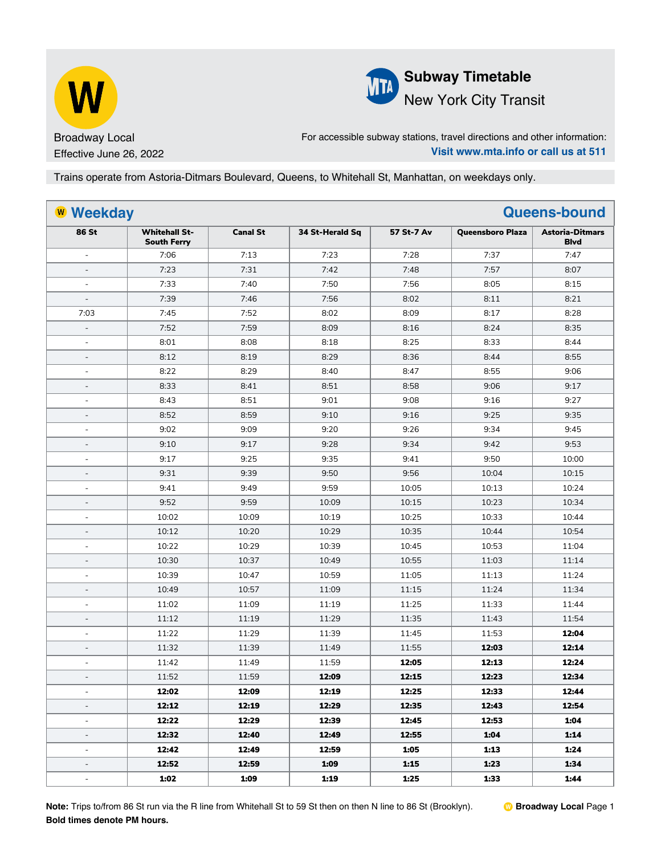



For accessible subway stations, travel directions and other information: **Visit www.mta.info or call us at 511**

Trains operate from Astoria-Ditmars Boulevard, Queens, to Whitehall St, Manhattan, on weekdays only.

|                          | <b>W</b> Weekday<br><b>Queens-bound</b>    |                 |                 |            |                         |                                       |
|--------------------------|--------------------------------------------|-----------------|-----------------|------------|-------------------------|---------------------------------------|
| 86 St                    | <b>Whitehall St-</b><br><b>South Ferry</b> | <b>Canal St</b> | 34 St-Herald Sq | 57 St-7 Av | <b>Queensboro Plaza</b> | <b>Astoria-Ditmars</b><br><b>Blvd</b> |
| $\blacksquare$           | 7:06                                       | 7:13            | 7:23            | 7:28       | 7:37                    | 7:47                                  |
| $\overline{a}$           | 7:23                                       | 7:31            | 7:42            | 7:48       | 7:57                    | 8:07                                  |
| ÷,                       | 7:33                                       | 7:40            | 7:50            | 7:56       | 8:05                    | 8:15                                  |
| $\overline{\phantom{a}}$ | 7:39                                       | 7:46            | 7:56            | 8:02       | 8:11                    | 8:21                                  |
| 7:03                     | 7:45                                       | 7:52            | 8:02            | 8:09       | 8:17                    | 8:28                                  |
| $\overline{\phantom{0}}$ | 7:52                                       | 7:59            | 8:09            | 8:16       | 8:24                    | 8:35                                  |
| $\overline{a}$           | 8:01                                       | 8:08            | 8:18            | 8:25       | 8:33                    | 8:44                                  |
| $\overline{\phantom{0}}$ | 8:12                                       | 8:19            | 8:29            | 8:36       | 8:44                    | 8:55                                  |
| $\blacksquare$           | 8:22                                       | 8:29            | 8:40            | 8:47       | 8:55                    | 9:06                                  |
| $\overline{a}$           | 8:33                                       | 8:41            | 8:51            | 8:58       | 9:06                    | 9:17                                  |
| $\blacksquare$           | 8:43                                       | 8:51            | 9:01            | 9:08       | 9:16                    | 9:27                                  |
| $\overline{\phantom{0}}$ | 8:52                                       | 8:59            | 9:10            | 9:16       | 9:25                    | 9:35                                  |
| L,                       | 9:02                                       | 9:09            | 9:20            | 9:26       | 9:34                    | 9:45                                  |
| $\overline{\phantom{0}}$ | 9:10                                       | 9:17            | 9:28            | 9:34       | 9:42                    | 9:53                                  |
| ÷,                       | 9:17                                       | 9:25            | 9:35            | 9:41       | 9:50                    | 10:00                                 |
| $\overline{\phantom{a}}$ | 9:31                                       | 9:39            | 9:50            | 9:56       | 10:04                   | 10:15                                 |
| L,                       | 9:41                                       | 9:49            | 9:59            | 10:05      | 10:13                   | 10:24                                 |
| ÷,                       | 9:52                                       | 9:59            | 10:09           | 10:15      | 10:23                   | 10:34                                 |
| L,                       | 10:02                                      | 10:09           | 10:19           | 10:25      | 10:33                   | 10:44                                 |
| $\overline{\phantom{a}}$ | 10:12                                      | 10:20           | 10:29           | 10:35      | 10:44                   | 10:54                                 |
| L,                       | 10:22                                      | 10:29           | 10:39           | 10:45      | 10:53                   | 11:04                                 |
| $\overline{a}$           | 10:30                                      | 10:37           | 10:49           | 10:55      | 11:03                   | 11:14                                 |
| ÷,                       | 10:39                                      | 10:47           | 10:59           | 11:05      | 11:13                   | 11:24                                 |
| $\overline{\phantom{0}}$ | 10:49                                      | 10:57           | 11:09           | 11:15      | 11:24                   | 11:34                                 |
| L,                       | 11:02                                      | 11:09           | 11:19           | 11:25      | 11:33                   | 11:44                                 |
| $\overline{a}$           | 11:12                                      | 11:19           | 11:29           | 11:35      | 11:43                   | 11:54                                 |
| ÷                        | 11:22                                      | 11:29           | 11:39           | 11:45      | 11:53                   | 12:04                                 |
| ÷,                       | 11:32                                      | 11:39           | 11:49           | 11:55      | 12:03                   | 12:14                                 |
|                          | 11:42                                      | 11:49           | 11:59           | 12:05      | 12:13                   | 12:24                                 |
| $\overline{a}$           | 11:52                                      | 11:59           | 12:09           | 12:15      | 12:23                   | 12:34                                 |
| $\overline{\phantom{a}}$ | 12:02                                      | 12:09           | 12:19           | 12:25      | 12:33                   | 12:44                                 |
| $\overline{\phantom{0}}$ | 12:12                                      | 12:19           | 12:29           | 12:35      | 12:43                   | 12:54                                 |
| ÷,                       | 12:22                                      | 12:29           | 12:39           | 12:45      | 12:53                   | 1:04                                  |
| ÷,                       | 12:32                                      | 12:40           | 12:49           | 12:55      | 1:04                    | 1:14                                  |
| $\overline{\phantom{a}}$ | 12:42                                      | 12:49           | 12:59           | 1:05       | 1:13                    | 1:24                                  |
| ÷,                       | 12:52                                      | 12:59           | 1:09            | 1:15       | 1:23                    | 1:34                                  |
| $\overline{\phantom{a}}$ | 1:02                                       | 1:09            | 1:19            | 1:25       | 1:33                    | 1:44                                  |

**Note:** Trips to/from 86 St run via the R line from Whitehall St to 59 St then on then N line to 86 St (Brooklyn). **Bold times denote PM hours.**

W **Broadway Local** Page 1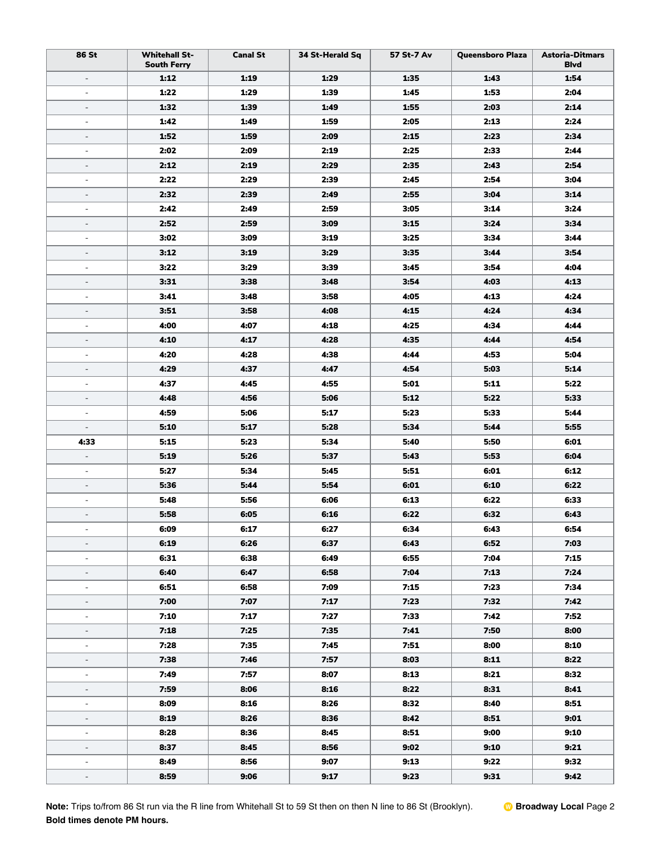| 86 St                        | <b>Whitehall St-</b><br><b>South Ferry</b> | <b>Canal St</b> | 34 St-Herald Sq | 57 St-7 Av | <b>Queensboro Plaza</b> | <b>Astoria-Ditmars</b><br><b>Blvd</b> |
|------------------------------|--------------------------------------------|-----------------|-----------------|------------|-------------------------|---------------------------------------|
| $\blacksquare$               | 1:12                                       | 1:19            | 1:29            | 1:35       | 1:43                    | 1:54                                  |
| ÷,                           | 1:22                                       | 1:29            | 1:39            | 1:45       | 1:53                    | 2:04                                  |
| $\qquad \qquad -$            | 1:32                                       | 1:39            | 1:49            | 1:55       | 2:03                    | 2:14                                  |
| ÷,                           | 1:42                                       | 1:49            | 1:59            | 2:05       | 2:13                    | 2:24                                  |
| $\qquad \qquad \blacksquare$ | 1:52                                       | 1:59            | 2:09            | 2:15       | 2:23                    | 2:34                                  |
| $\overline{\phantom{a}}$     | 2:02                                       | 2:09            | 2:19            | 2:25       | 2:33                    | 2:44                                  |
| $\overline{\phantom{a}}$     | 2:12                                       | 2:19            | 2:29            | 2:35       | 2:43                    | 2:54                                  |
| $\overline{\phantom{a}}$     | 2:22                                       | 2:29            | 2:39            | 2:45       | 2:54                    | 3:04                                  |
| $\qquad \qquad \blacksquare$ | 2:32                                       | 2:39            | 2:49            | 2:55       | 3:04                    | 3:14                                  |
| ÷,                           | 2:42                                       | 2:49            | 2:59            | 3:05       | 3:14                    | 3:24                                  |
| $\qquad \qquad \blacksquare$ | 2:52                                       | 2:59            | 3:09            | 3:15       | 3:24                    | 3:34                                  |
| $\overline{\phantom{a}}$     | 3:02                                       | 3:09            | 3:19            | 3:25       | 3:34                    | 3:44                                  |
| $\overline{\phantom{a}}$     | 3:12                                       | 3:19            | 3:29            | 3:35       | 3:44                    | 3:54                                  |
| $\blacksquare$               | 3:22                                       | 3:29            | 3:39            | 3:45       | 3:54                    | 4:04                                  |
| $\qquad \qquad -$            | 3:31                                       | 3:38            | 3:48            | 3:54       | 4:03                    | 4:13                                  |
| $\overline{\phantom{a}}$     | 3:41                                       | 3:48            | 3:58            | 4:05       | 4:13                    | 4:24                                  |
| $\overline{\phantom{a}}$     | 3:51                                       | 3:58            | 4:08            | 4:15       | 4:24                    | 4:34                                  |
| $\blacksquare$               | 4:00                                       | 4:07            | 4:18            | 4:25       | 4:34                    | 4:44                                  |
| $\qquad \qquad \blacksquare$ | 4:10                                       | 4:17            | 4:28            | 4:35       | 4:44                    | 4:54                                  |
| $\blacksquare$               | 4:20                                       | 4:28            | 4:38            | 4:44       | 4:53                    | 5:04                                  |
| $\qquad \qquad \blacksquare$ | 4:29                                       | 4:37            | 4:47            | 4:54       | 5:03                    | 5:14                                  |
| $\blacksquare$               | 4:37                                       | 4:45            | 4:55            | 5:01       | 5:11                    | 5:22                                  |
| $\qquad \qquad -$            | 4:48                                       | 4:56            | 5:06            | 5:12       | 5:22                    | 5:33                                  |
| $\overline{\phantom{a}}$     | 4:59                                       | 5:06            | 5:17            | 5:23       | 5:33                    | 5:44                                  |
| $\qquad \qquad \blacksquare$ | 5:10                                       | 5:17            | 5:28            | 5:34       | 5:44                    | 5:55                                  |
| 4:33                         | 5:15                                       | 5:23            | 5:34            | 5:40       | 5:50                    | 6:01                                  |
| $\overline{\phantom{a}}$     | 5:19                                       | 5:26            | 5:37            | 5:43       | 5:53                    | 6:04                                  |
| $\overline{\phantom{a}}$     | 5:27                                       | 5:34            | 5:45            | 5:51       | 6:01                    | 6:12                                  |
| $\overline{\phantom{a}}$     | 5:36                                       | 5:44            | 5:54            | 6:01       | 6:10                    | 6:22                                  |
| $\blacksquare$               | 5:48                                       | 5:56            | 6:06            | 6:13       | 6:22                    | 6:33                                  |
| $\overline{\phantom{a}}$     | 5:58                                       | 6:05            | 6:16            | 6:22       | 6:32                    | 6:43                                  |
| $\blacksquare$               | 6:09                                       | 6:17            | 6:27            | 6:34       | 6:43                    | 6:54                                  |
| $\blacksquare$               | 6:19                                       | 6:26            | 6:37            | 6:43       | 6:52                    | 7:03                                  |
| $\blacksquare$               | 6:31                                       | 6:38            | 6:49            | 6:55       | 7:04                    | 7:15                                  |
| $\blacksquare$               | 6:40                                       | 6:47            | 6:58            | 7:04       | 7:13                    | 7:24                                  |
| $\overline{\phantom{a}}$     | 6:51                                       | 6:58            | 7:09            | 7:15       | 7:23                    | 7:34                                  |
| $\blacksquare$               | 7:00                                       | 7:07            | 7:17            | 7:23       | 7:32                    | 7:42                                  |
| $\overline{\phantom{a}}$     | 7:10                                       | 7:17            | 7:27            | 7:33       | 7:42                    | 7:52                                  |
| $\blacksquare$               | 7:18                                       | 7:25            | 7:35            | 7:41       | 7:50                    | 8:00                                  |
| $\qquad \qquad \blacksquare$ | 7:28                                       | 7:35            | 7:45            | 7:51       | 8:00                    | 8:10                                  |
|                              | 7:38                                       | 7:46            | 7:57            | 8:03       | 8:11                    | 8:22                                  |
| $\overline{\phantom{a}}$     | 7:49                                       | 7:57            | 8:07            | 8:13       | 8:21                    | 8:32                                  |
|                              | 7:59                                       | 8:06            | 8:16            | 8:22       | 8:31                    | 8:41                                  |
| $\blacksquare$               | 8:09                                       | 8:16            | 8:26            | 8:32       | 8:40                    | 8:51                                  |
| $\overline{\phantom{a}}$     | 8:19                                       | 8:26            | 8:36            | 8:42       | 8:51                    | 9:01                                  |
| $\overline{\phantom{a}}$     | 8:28                                       | 8:36            | 8:45            | 8:51       | 9:00                    | 9:10                                  |
|                              | 8:37                                       | 8:45            | 8:56            | 9:02       | 9:10                    | 9:21                                  |
| $\blacksquare$               | 8:49                                       | 8:56            | 9:07            | 9:13       | 9:22                    | 9:32                                  |
|                              | 8:59                                       | 9:06            | 9:17            | 9:23       | 9:31                    | 9:42                                  |
|                              |                                            |                 |                 |            |                         |                                       |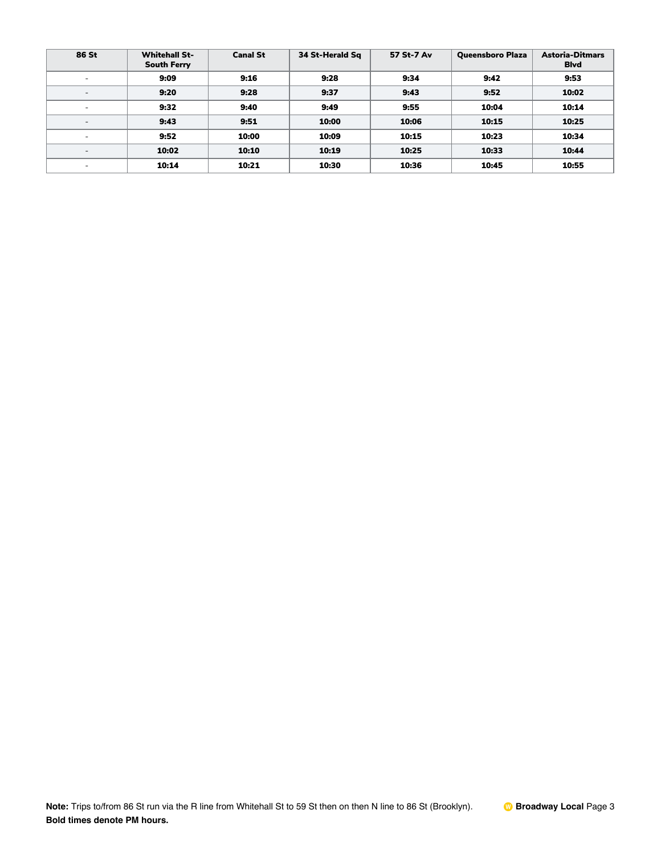| 86 St                    | <b>Whitehall St-</b><br><b>South Ferry</b> | <b>Canal St</b> | 34 St-Herald Sq | 57 St-7 Av | <b>Queensboro Plaza</b> | <b>Astoria-Ditmars</b><br><b>B</b> lvd |
|--------------------------|--------------------------------------------|-----------------|-----------------|------------|-------------------------|----------------------------------------|
| ۰                        | 9:09                                       | 9:16            | 9:28            | 9:34       | 9:42                    | 9:53                                   |
| $\overline{\phantom{0}}$ | 9:20                                       | 9:28            | 9:37            | 9:43       | 9:52                    | 10:02                                  |
| $\overline{\phantom{a}}$ | 9:32                                       | 9:40            | 9:49            | 9:55       | 10:04                   | 10:14                                  |
| $\overline{\phantom{0}}$ | 9:43                                       | 9:51            | 10:00           | 10:06      | 10:15                   | 10:25                                  |
| $\overline{\phantom{a}}$ | 9:52                                       | 10:00           | 10:09           | 10:15      | 10:23                   | 10:34                                  |
| $\overline{\phantom{a}}$ | 10:02                                      | 10:10           | 10:19           | 10:25      | 10:33                   | 10:44                                  |
| $\overline{\phantom{0}}$ | 10:14                                      | 10:21           | 10:30           | 10:36      | 10:45                   | 10:55                                  |

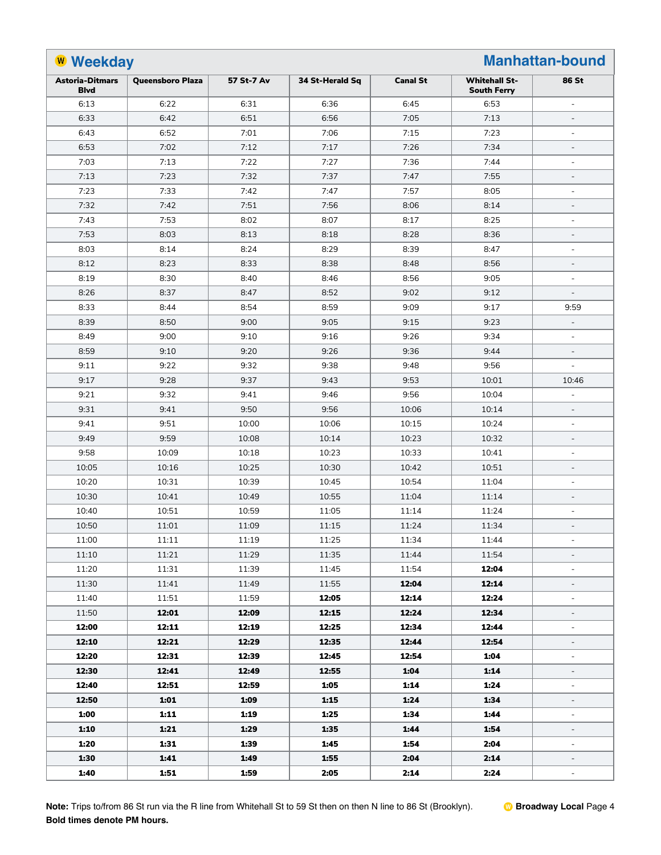| <b>W</b> Weekday<br><b>Manhattan-bound</b> |                         |            |                 |                 |                                            |                              |  |
|--------------------------------------------|-------------------------|------------|-----------------|-----------------|--------------------------------------------|------------------------------|--|
| <b>Astoria-Ditmars</b><br><b>Blvd</b>      | <b>Queensboro Plaza</b> | 57 St-7 Av | 34 St-Herald Sq | <b>Canal St</b> | <b>Whitehall St-</b><br><b>South Ferry</b> | 86 St                        |  |
| 6:13                                       | 6:22                    | 6:31       | 6:36            | 6:45            | 6:53                                       | $\equiv$                     |  |
| 6:33                                       | 6:42                    | 6:51       | 6:56            | 7:05            | 7:13                                       | $\overline{\phantom{a}}$     |  |
| 6:43                                       | 6:52                    | 7:01       | 7:06            | 7:15            | 7:23                                       | $\overline{\phantom{a}}$     |  |
| 6:53                                       | 7:02                    | 7:12       | 7:17            | 7:26            | 7:34                                       | $\blacksquare$               |  |
| 7:03                                       | 7:13                    | 7:22       | 7:27            | 7:36            | 7:44                                       | $\blacksquare$               |  |
| 7:13                                       | 7:23                    | 7:32       | 7:37            | 7:47            | 7:55                                       | $\blacksquare$               |  |
| 7:23                                       | 7:33                    | 7:42       | 7:47            | 7:57            | 8:05                                       | $\sim$                       |  |
| 7:32                                       | 7:42                    | 7:51       | 7:56            | 8:06            | 8:14                                       | $\blacksquare$               |  |
| 7:43                                       | 7:53                    | 8:02       | 8:07            | 8:17            | 8:25                                       | $\sim$                       |  |
| 7:53                                       | 8:03                    | 8:13       | 8:18            | 8:28            | 8:36                                       | $\blacksquare$               |  |
| 8:03                                       | 8:14                    | 8:24       | 8:29            | 8:39            | 8:47                                       | $\sim$                       |  |
| 8:12                                       | 8:23                    | 8:33       | 8:38            | 8:48            | 8:56                                       | $\overline{\phantom{a}}$     |  |
| 8:19                                       | 8:30                    | 8:40       | 8:46            | 8:56            | 9:05                                       | $\sim$                       |  |
| 8:26                                       | 8:37                    | 8:47       | 8:52            | 9:02            | 9:12                                       | $\blacksquare$               |  |
| 8:33                                       | 8:44                    | 8:54       | 8:59            | 9:09            | 9:17                                       | 9:59                         |  |
| 8:39                                       | 8:50                    | 9:00       | 9:05            | 9:15            | 9:23                                       | $\overline{\phantom{a}}$     |  |
| 8:49                                       | 9:00                    | 9:10       | 9:16            | 9:26            | 9:34                                       | $\overline{\phantom{a}}$     |  |
| 8:59                                       | 9:10                    | 9:20       | 9:26            | 9:36            | 9:44                                       | $\overline{\phantom{a}}$     |  |
| 9:11                                       | 9:22                    | 9:32       | 9:38            | 9:48            | 9:56                                       | $\blacksquare$               |  |
| 9:17                                       | 9:28                    | 9:37       | 9:43            | 9:53            | 10:01                                      | 10:46                        |  |
| 9:21                                       | 9:32                    | 9:41       | 9:46            | 9:56            | 10:04                                      | $\blacksquare$               |  |
| 9:31                                       | 9:41                    | 9:50       | 9:56            | 10:06           | 10:14                                      | $\overline{\phantom{a}}$     |  |
| 9:41                                       | 9:51                    | 10:00      | 10:06           | 10:15           | 10:24                                      | $\overline{\phantom{a}}$     |  |
| 9:49                                       | 9:59                    | 10:08      | 10:14           | 10:23           | 10:32                                      | $\overline{\phantom{a}}$     |  |
| 9:58                                       | 10:09                   | 10:18      | 10:23           | 10:33           | 10:41                                      | $\blacksquare$               |  |
| 10:05                                      | 10:16                   | 10:25      | 10:30           | 10:42           | 10:51                                      | $\overline{\phantom{a}}$     |  |
| 10:20                                      | 10:31                   | 10:39      | 10:45           | 10:54           | 11:04                                      | $\blacksquare$               |  |
| 10:30                                      | 10:41                   | 10:49      | 10:55           | 11:04           | 11:14                                      | $\overline{\phantom{a}}$     |  |
| 10:40                                      | 10:51                   | 10:59      | 11:05           | 11:14           | 11:24                                      | $\blacksquare$               |  |
| 10:50                                      | 11:01                   | 11:09      | 11:15           | 11:24           | 11:34                                      | $\overline{\phantom{a}}$     |  |
| 11:00                                      | 11:11                   | 11:19      | 11:25           | 11:34           | 11:44                                      | $\overline{\phantom{a}}$     |  |
| 11:10                                      | 11:21                   | 11:29      | 11:35           | 11:44           | 11:54                                      | $\blacksquare$               |  |
| 11:20                                      | 11:31                   | 11:39      | 11:45           | 11:54           | 12:04                                      | $\equiv$                     |  |
| 11:30                                      | 11:41                   | 11:49      | 11:55           | 12:04           | 12:14                                      | $\qquad \qquad \blacksquare$ |  |
| 11:40                                      | 11:51                   | 11:59      | 12:05           | 12:14           | 12:24                                      | $\overline{\phantom{a}}$     |  |
| 11:50                                      | 12:01                   | 12:09      | 12:15           | 12:24           | 12:34                                      | $\overline{\phantom{a}}$     |  |
| 12:00                                      | 12:11                   | 12:19      | 12:25           | 12:34           | 12:44                                      | $\blacksquare$               |  |
| 12:10                                      | 12:21                   | 12:29      | 12:35           | 12:44           | 12:54                                      | $\qquad \qquad \blacksquare$ |  |
| 12:20                                      | 12:31                   | 12:39      | 12:45           | 12:54           | 1:04                                       | $\overline{\phantom{a}}$     |  |
| 12:30                                      | 12:41                   | 12:49      | 12:55           | 1:04            | 1:14                                       | $\overline{\phantom{a}}$     |  |
| 12:40                                      | 12:51                   | 12:59      | 1:05            | 1:14            | 1:24                                       | $\blacksquare$               |  |
| 12:50                                      | 1:01                    | 1:09       | 1:15            | 1:24            | 1:34                                       | $\qquad \qquad \blacksquare$ |  |
| 1:00                                       | 1:11                    | 1:19       | 1:25            | 1:34            | 1:44                                       | $\overline{\phantom{a}}$     |  |
| 1:10                                       | 1:21                    | 1:29       | 1:35            | 1:44            | 1:54                                       | $\overline{\phantom{a}}$     |  |
| 1:20                                       | 1:31                    | 1:39       | 1:45            | 1:54            | 2:04                                       | $\blacksquare$               |  |
| 1:30                                       | 1:41                    | 1:49       | 1:55            | 2:04            | 2:14                                       | $\overline{\phantom{a}}$     |  |
| 1:40                                       | 1:51                    | 1:59       | 2:05            | 2:14            | 2:24                                       | $\overline{\phantom{a}}$     |  |

**Note:** Trips to/from 86 St run via the R line from Whitehall St to 59 St then on then N line to 86 St (Brooklyn). **Bold times denote PM hours.**

W **Broadway Local** Page 4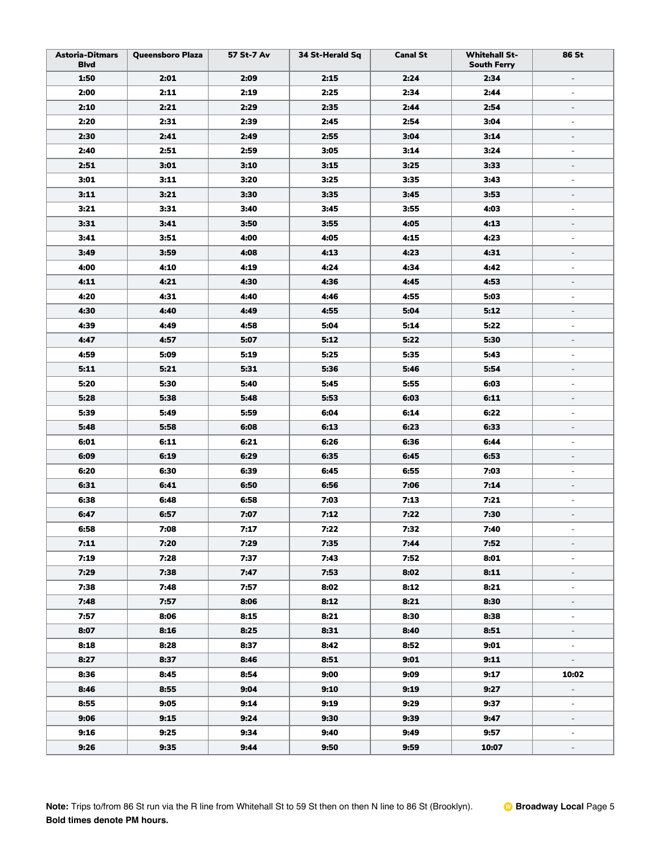| <b>Astoria-Ditmars</b><br><b>Blvd</b> | Queensboro Plaza | 57 St-7 Av | 34 St-Herald Sq | <b>Canal St</b> | <b>Whitehall St-</b><br><b>South Ferry</b> | 86 St                    |
|---------------------------------------|------------------|------------|-----------------|-----------------|--------------------------------------------|--------------------------|
| 1:50                                  | 2:01             | 2:09       | 2:15            | 2:24            | 2:34                                       | $\overline{\phantom{a}}$ |
| 2:00                                  | 2:11             | 2:19       | 2:25            | 2:34            | 2:44                                       | $\blacksquare$           |
| 2:10                                  | 2:21             | 2:29       | 2:35            | 2:44            | 2:54                                       | $\overline{\phantom{a}}$ |
| 2:20                                  | 2:31             | 2:39       | 2:45            | 2:54            | 3:04                                       | $\overline{\phantom{a}}$ |
| 2:30                                  | 2:41             | 2:49       | 2:55            | 3:04            | 3:14                                       | $\overline{\phantom{a}}$ |
| 2:40                                  | 2:51             | 2:59       | 3:05            | 3:14            | 3:24                                       | $\equiv$                 |
| 2:51                                  | 3:01             | 3:10       | 3:15            | 3:25            | 3:33                                       | $\overline{\phantom{a}}$ |
| 3:01                                  | 3:11             | 3:20       | 3:25            | 3:35            | 3:43                                       | $\blacksquare$           |
| 3:11                                  | 3:21             | 3:30       | 3:35            | 3:45            | 3:53                                       | $\overline{\phantom{0}}$ |
| 3:21                                  | 3:31             | 3:40       | 3:45            | 3:55            | 4:03                                       | $\blacksquare$           |
| 3:31                                  | 3:41             | 3:50       | 3:55            | 4:05            | 4:13                                       | $\overline{\phantom{0}}$ |
| 3:41                                  | 3:51             | 4:00       | 4:05            | 4:15            | 4:23                                       | $\overline{\phantom{a}}$ |
| 3:49                                  | 3:59             | 4:08       | 4:13            | 4:23            | 4:31                                       | $\overline{\phantom{a}}$ |
| 4:00                                  | 4:10             | 4:19       | 4:24            | 4:34            | 4:42                                       | $\blacksquare$           |
| 4:11                                  | 4:21             | 4:30       | 4:36            | 4:45            | 4:53                                       | $\blacksquare$           |
| 4:20                                  | 4:31             | 4:40       | 4:46            | 4:55            | 5:03                                       | $\overline{\phantom{a}}$ |
| 4:30                                  | 4:40             | 4:49       | 4:55            | 5:04            | 5:12                                       | $\blacksquare$           |
| 4:39                                  | 4:49             | 4:58       | 5:04            | 5:14            | 5:22                                       | $\equiv$                 |
| 4:47                                  | 4:57             | 5:07       | 5:12            | 5:22            | 5:30                                       | $\overline{\phantom{a}}$ |
| 4:59                                  | 5:09             | 5:19       | 5:25            | 5:35            | 5:43                                       | $\blacksquare$           |
| 5:11                                  | 5:21             | 5:31       | 5:36            | 5:46            | 5:54                                       | $\overline{\phantom{a}}$ |
| 5:20                                  | 5:30             | 5:40       | 5:45            | 5:55            | 6:03                                       | $\blacksquare$           |
| 5:28                                  | 5:38             | 5:48       | 5:53            | 6:03            | 6:11                                       | $\blacksquare$           |
| 5:39                                  | 5:49             | 5:59       | 6:04            | 6:14            | 6:22                                       | $\overline{\phantom{a}}$ |
| 5:48                                  | 5:58             | 6:08       | 6:13            | 6:23            | 6:33                                       | $\blacksquare$           |
| 6:01                                  | 6:11             | 6:21       | 6:26            | 6:36            | 6:44                                       | $\blacksquare$           |
| 6:09                                  | 6:19             | 6:29       | 6:35            | 6:45            | 6:53                                       | $\qquad \qquad =$        |
| 6:20                                  | 6:30             | 6:39       | 6:45            | 6:55            | 7:03                                       | $\overline{\phantom{a}}$ |
| 6:31                                  | 6:41             | 6:50       | 6:56            | 7:06            | 7:14                                       | $\overline{\phantom{a}}$ |
| 6:38                                  | 6:48             | 6:58       | 7:03            | 7:13            | 7:21                                       | $\equiv$                 |
| 6:47                                  | 6:57             | 7:07       | 7:12            | 7:22            | 7:30                                       | ÷                        |
| 6:58                                  | 7:08             | 7:17       | 7:22            | 7:32            | 7:40                                       | $\overline{\phantom{a}}$ |
| 7:11                                  | 7:20             | 7:29       | 7:35            | 7:44            | 7:52                                       | $\overline{\phantom{a}}$ |
| 7:19                                  | 7:28             | 7:37       | 7:43            | 7:52            | 8:01                                       | $\blacksquare$           |
| 7:29                                  | 7:38             | 7:47       | 7:53            | 8:02            | 8:11                                       | $\overline{\phantom{a}}$ |
| 7:38                                  | 7:48             | 7:57       | 8:02            | 8:12            | 8:21                                       | $\overline{\phantom{a}}$ |
| 7:48                                  | 7:57             | 8:06       | 8:12            | 8:21            | 8:30                                       | $\overline{\phantom{a}}$ |
| 7:57                                  | 8:06             | 8:15       | 8:21            | 8:30            | 8:38                                       | $\blacksquare$           |
| 8:07                                  | 8:16             | 8:25       | 8:31            | 8:40            | 8:51                                       | $\overline{\phantom{0}}$ |
| 8:18                                  | 8:28             | 8:37       | 8:42            | 8:52            | 9:01                                       | $\blacksquare$           |
| 8:27                                  | 8:37             | 8:46       | 8:51            | 9:01            | 9:11                                       | $\sim$                   |
| 8:36                                  | 8:45             | 8:54       | 9:00            | 9:09            | 9:17                                       | 10:02                    |
| 8:46                                  | 8:55             | 9:04       | 9:10            | 9:19            | 9:27                                       | $\equiv$                 |
| 8:55                                  | 9:05             | 9:14       | 9:19            | 9:29            | 9:37                                       | $\blacksquare$           |
| 9:06                                  | 9:15             | 9:24       | 9:30            | 9:39            | 9:47                                       | $\overline{\phantom{a}}$ |
| 9:16                                  | 9:25             | 9:34       | 9:40            | 9:49            | 9:57                                       | $\overline{\phantom{a}}$ |
| 9:26                                  | 9:35             | 9:44       | 9:50            | 9:59            | 10:07                                      | $\overline{\phantom{a}}$ |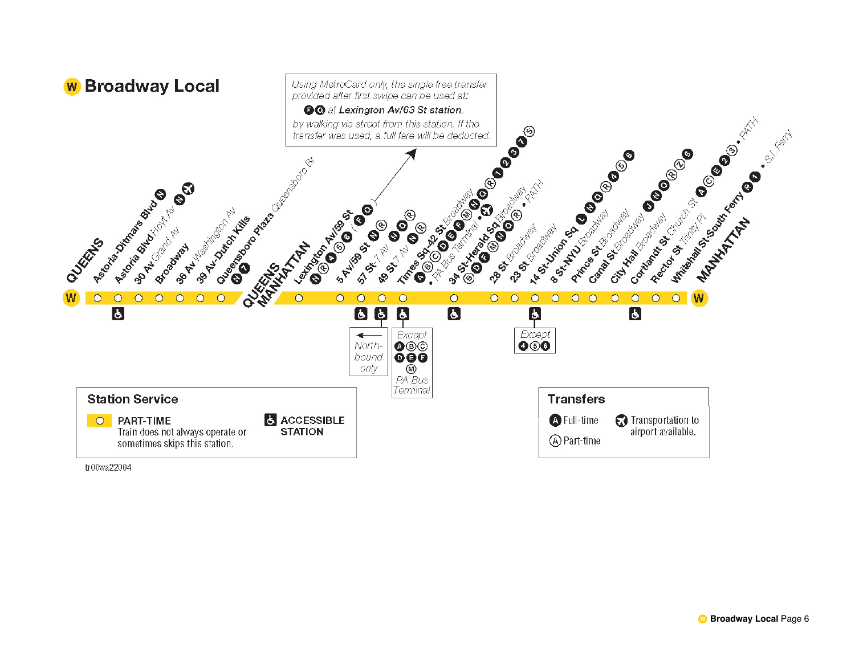

tr00wa22004